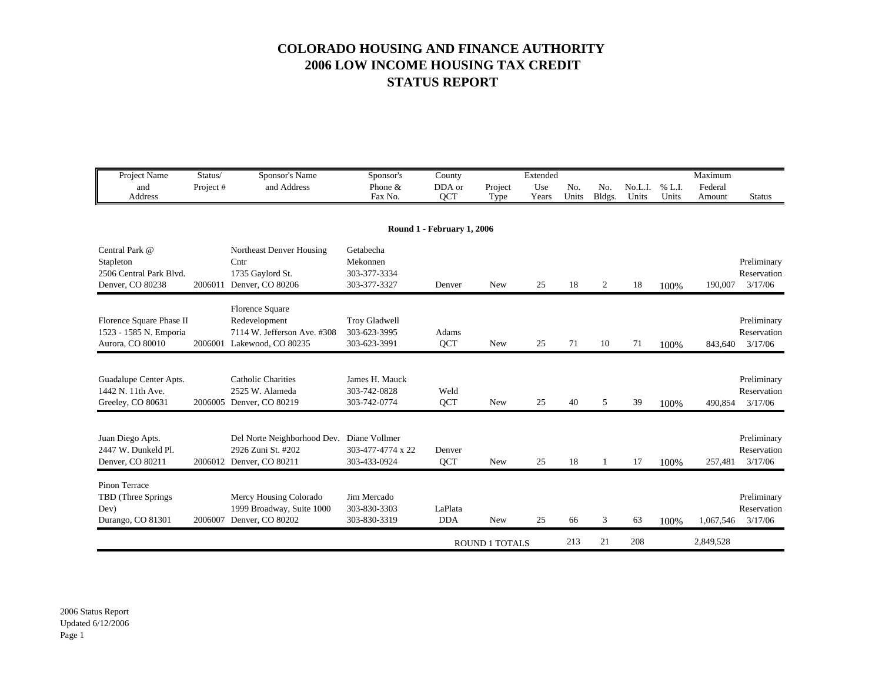## **COLORADO HOUSING AND FINANCE AUTHORITY 2006 LOW INCOME HOUSING TAX CREDIT STATUS REPORT**

| Project Name<br>and                                                        | Status/<br>Project# | Sponsor's Name<br>and Address                                                                 | Sponsor's<br>Phone &                                  | County<br>DDA or           | Project    | Extended<br>Use | N <sub>0</sub> | No.            | No.L.I. | % L.I. | Maximum<br>Federal |                                       |
|----------------------------------------------------------------------------|---------------------|-----------------------------------------------------------------------------------------------|-------------------------------------------------------|----------------------------|------------|-----------------|----------------|----------------|---------|--------|--------------------|---------------------------------------|
| Address                                                                    |                     |                                                                                               | Fax No.                                               | <b>QCT</b>                 | Type       | Years           | Units          | Bldgs.         | Units   | Units  | Amount             | <b>Status</b>                         |
|                                                                            |                     |                                                                                               |                                                       | Round 1 - February 1, 2006 |            |                 |                |                |         |        |                    |                                       |
| Central Park @<br>Stapleton<br>2506 Central Park Blvd.<br>Denver, CO 80238 | 2006011             | Northeast Denver Housing<br>Cntr<br>1735 Gaylord St.<br>Denver, CO 80206                      | Getabecha<br>Mekonnen<br>303-377-3334<br>303-377-3327 | Denver                     | <b>New</b> | 25              | 18             | 2              | 18      | 100%   | 190,007            | Preliminary<br>Reservation<br>3/17/06 |
| Florence Square Phase II<br>1523 - 1585 N. Emporia<br>Aurora, CO 80010     |                     | Florence Square<br>Redevelopment<br>7114 W. Jefferson Ave. #308<br>2006001 Lakewood, CO 80235 | Troy Gladwell<br>303-623-3995<br>303-623-3991         | Adams<br><b>QCT</b>        | <b>New</b> | 25              | 71             | 10             | 71      | 100%   | 843,640            | Preliminary<br>Reservation<br>3/17/06 |
| Guadalupe Center Apts.<br>1442 N. 11th Ave.<br>Greeley, CO 80631           | 2006005             | <b>Catholic Charities</b><br>2525 W. Alameda<br>Denver, CO 80219                              | James H. Mauck<br>303-742-0828<br>303-742-0774        | Weld<br><b>OCT</b>         | <b>New</b> | 25              | 40             | $\mathfrak{F}$ | 39      | 100%   | 490,854            | Preliminary<br>Reservation<br>3/17/06 |
| Juan Diego Apts.<br>2447 W. Dunkeld Pl.<br>Denver, CO 80211                |                     | Del Norte Neighborhood Dev. Diane Vollmer<br>2926 Zuni St. #202<br>2006012 Denver, CO 80211   | 303-477-4774 x 22<br>303-433-0924                     | Denver<br><b>OCT</b>       | <b>New</b> | 25              | 18             | -1             | 17      | 100%   | 257,481            | Preliminary<br>Reservation<br>3/17/06 |
| Pinon Terrace<br>TBD (Three Springs)<br>Dev)<br>Durango, CO 81301          | 2006007             | Mercy Housing Colorado<br>1999 Broadway, Suite 1000<br>Denver, CO 80202                       | Jim Mercado<br>303-830-3303<br>303-830-3319           | LaPlata<br><b>DDA</b>      | <b>New</b> | 25              | 66             | 3              | 63      | 100%   | 1,067,546          | Preliminary<br>Reservation<br>3/17/06 |
|                                                                            |                     |                                                                                               |                                                       | <b>ROUND 1 TOTALS</b>      |            |                 | 213            | 21             | 208     |        | 2,849,528          |                                       |